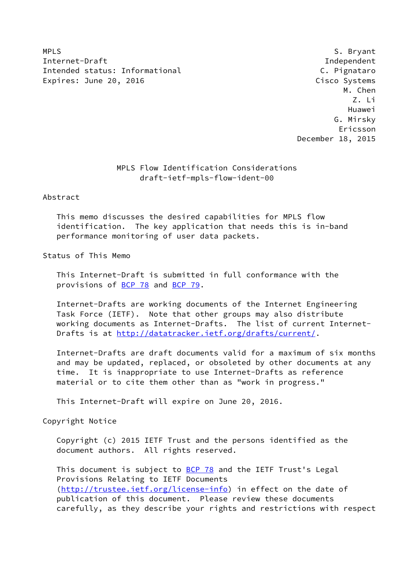MPLS S. Bryant Internet-Draft Independent Intended status: Informational example and the c. Pignataro Expires: June 20, 2016 **Cisco Systems** 

 M. Chen Z. Li Huawei G. Mirsky Ericsson December 18, 2015

## MPLS Flow Identification Considerations draft-ietf-mpls-flow-ident-00

Abstract

 This memo discusses the desired capabilities for MPLS flow identification. The key application that needs this is in-band performance monitoring of user data packets.

Status of This Memo

 This Internet-Draft is submitted in full conformance with the provisions of [BCP 78](https://datatracker.ietf.org/doc/pdf/bcp78) and [BCP 79](https://datatracker.ietf.org/doc/pdf/bcp79).

 Internet-Drafts are working documents of the Internet Engineering Task Force (IETF). Note that other groups may also distribute working documents as Internet-Drafts. The list of current Internet- Drafts is at<http://datatracker.ietf.org/drafts/current/>.

 Internet-Drafts are draft documents valid for a maximum of six months and may be updated, replaced, or obsoleted by other documents at any time. It is inappropriate to use Internet-Drafts as reference material or to cite them other than as "work in progress."

This Internet-Draft will expire on June 20, 2016.

Copyright Notice

 Copyright (c) 2015 IETF Trust and the persons identified as the document authors. All rights reserved.

This document is subject to **[BCP 78](https://datatracker.ietf.org/doc/pdf/bcp78)** and the IETF Trust's Legal Provisions Relating to IETF Documents [\(http://trustee.ietf.org/license-info](http://trustee.ietf.org/license-info)) in effect on the date of publication of this document. Please review these documents carefully, as they describe your rights and restrictions with respect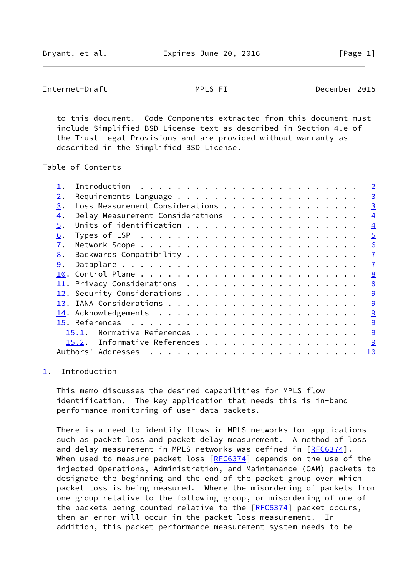<span id="page-1-1"></span>Internet-Draft MPLS FI December 2015

 to this document. Code Components extracted from this document must include Simplified BSD License text as described in Section 4.e of the Trust Legal Provisions and are provided without warranty as described in the Simplified BSD License.

Table of Contents

|                  |                                  |  |  |  |  |  |  |  |  | $\overline{2}$ |
|------------------|----------------------------------|--|--|--|--|--|--|--|--|----------------|
| 2.               |                                  |  |  |  |  |  |  |  |  | $\overline{3}$ |
| 3.               | Loss Measurement Considerations  |  |  |  |  |  |  |  |  | $\overline{3}$ |
| $\overline{4}$ . | Delay Measurement Considerations |  |  |  |  |  |  |  |  | $\overline{4}$ |
| 5.               |                                  |  |  |  |  |  |  |  |  | $\overline{4}$ |
| 6.               |                                  |  |  |  |  |  |  |  |  | $\overline{5}$ |
| 7.               |                                  |  |  |  |  |  |  |  |  | 6              |
| 8.               |                                  |  |  |  |  |  |  |  |  | $\overline{1}$ |
| 9.               |                                  |  |  |  |  |  |  |  |  | $\overline{1}$ |
|                  |                                  |  |  |  |  |  |  |  |  | 8              |
|                  |                                  |  |  |  |  |  |  |  |  | 8              |
|                  |                                  |  |  |  |  |  |  |  |  | 9              |
|                  |                                  |  |  |  |  |  |  |  |  | 9              |
|                  |                                  |  |  |  |  |  |  |  |  | 9              |
|                  |                                  |  |  |  |  |  |  |  |  | 9              |
|                  | Normative References<br>15.1.    |  |  |  |  |  |  |  |  | 9              |
|                  | 15.2. Informative References     |  |  |  |  |  |  |  |  | 9              |
|                  | Authors' Addresses               |  |  |  |  |  |  |  |  | 10             |
|                  |                                  |  |  |  |  |  |  |  |  |                |

## <span id="page-1-0"></span>[1](#page-1-0). Introduction

 This memo discusses the desired capabilities for MPLS flow identification. The key application that needs this is in-band performance monitoring of user data packets.

 There is a need to identify flows in MPLS networks for applications such as packet loss and packet delay measurement. A method of loss and delay measurement in MPLS networks was defined in [[RFC6374](https://datatracker.ietf.org/doc/pdf/rfc6374)]. When used to measure packet loss [\[RFC6374](https://datatracker.ietf.org/doc/pdf/rfc6374)] depends on the use of the injected Operations, Administration, and Maintenance (OAM) packets to designate the beginning and the end of the packet group over which packet loss is being measured. Where the misordering of packets from one group relative to the following group, or misordering of one of the packets being counted relative to the [[RFC6374](https://datatracker.ietf.org/doc/pdf/rfc6374)] packet occurs, then an error will occur in the packet loss measurement. In addition, this packet performance measurement system needs to be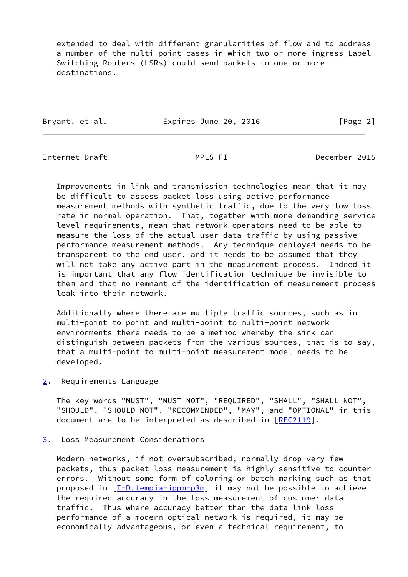extended to deal with different granularities of flow and to address a number of the multi-point cases in which two or more ingress Label Switching Routers (LSRs) could send packets to one or more destinations.

| Bryant, et al. | Expires June 20, 2016 | [Page 2] |
|----------------|-----------------------|----------|
|----------------|-----------------------|----------|

<span id="page-2-1"></span>Internet-Draft MPLS FI December 2015

 Improvements in link and transmission technologies mean that it may be difficult to assess packet loss using active performance measurement methods with synthetic traffic, due to the very low loss rate in normal operation. That, together with more demanding service level requirements, mean that network operators need to be able to measure the loss of the actual user data traffic by using passive performance measurement methods. Any technique deployed needs to be transparent to the end user, and it needs to be assumed that they will not take any active part in the measurement process. Indeed it is important that any flow identification technique be invisible to them and that no remnant of the identification of measurement process leak into their network.

 Additionally where there are multiple traffic sources, such as in multi-point to point and multi-point to multi-point network environments there needs to be a method whereby the sink can distinguish between packets from the various sources, that is to say, that a multi-point to multi-point measurement model needs to be developed.

<span id="page-2-0"></span>[2](#page-2-0). Requirements Language

 The key words "MUST", "MUST NOT", "REQUIRED", "SHALL", "SHALL NOT", "SHOULD", "SHOULD NOT", "RECOMMENDED", "MAY", and "OPTIONAL" in this document are to be interpreted as described in [\[RFC2119](https://datatracker.ietf.org/doc/pdf/rfc2119)].

<span id="page-2-2"></span>[3](#page-2-2). Loss Measurement Considerations

 Modern networks, if not oversubscribed, normally drop very few packets, thus packet loss measurement is highly sensitive to counter errors. Without some form of coloring or batch marking such as that proposed in [\[I-D.tempia-ippm-p3m](#page-9-7)] it may not be possible to achieve the required accuracy in the loss measurement of customer data traffic. Thus where accuracy better than the data link loss performance of a modern optical network is required, it may be economically advantageous, or even a technical requirement, to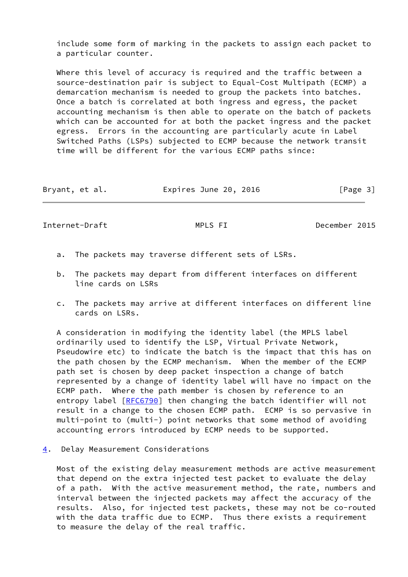include some form of marking in the packets to assign each packet to a particular counter.

 Where this level of accuracy is required and the traffic between a source-destination pair is subject to Equal-Cost Multipath (ECMP) a demarcation mechanism is needed to group the packets into batches. Once a batch is correlated at both ingress and egress, the packet accounting mechanism is then able to operate on the batch of packets which can be accounted for at both the packet ingress and the packet egress. Errors in the accounting are particularly acute in Label Switched Paths (LSPs) subjected to ECMP because the network transit time will be different for the various ECMP paths since:

| Bryant, et al. | Expires June 20, 2016 | [Page 3] |
|----------------|-----------------------|----------|
|----------------|-----------------------|----------|

<span id="page-3-1"></span>Internet-Draft MPLS FI December 2015

- a. The packets may traverse different sets of LSRs.
- b. The packets may depart from different interfaces on different line cards on LSRs
- c. The packets may arrive at different interfaces on different line cards on LSRs.

 A consideration in modifying the identity label (the MPLS label ordinarily used to identify the LSP, Virtual Private Network, Pseudowire etc) to indicate the batch is the impact that this has on the path chosen by the ECMP mechanism. When the member of the ECMP path set is chosen by deep packet inspection a change of batch represented by a change of identity label will have no impact on the ECMP path. Where the path member is chosen by reference to an entropy label [[RFC6790](https://datatracker.ietf.org/doc/pdf/rfc6790)] then changing the batch identifier will not result in a change to the chosen ECMP path. ECMP is so pervasive in multi-point to (multi-) point networks that some method of avoiding accounting errors introduced by ECMP needs to be supported.

<span id="page-3-0"></span>[4](#page-3-0). Delay Measurement Considerations

 Most of the existing delay measurement methods are active measurement that depend on the extra injected test packet to evaluate the delay of a path. With the active measurement method, the rate, numbers and interval between the injected packets may affect the accuracy of the results. Also, for injected test packets, these may not be co-routed with the data traffic due to ECMP. Thus there exists a requirement to measure the delay of the real traffic.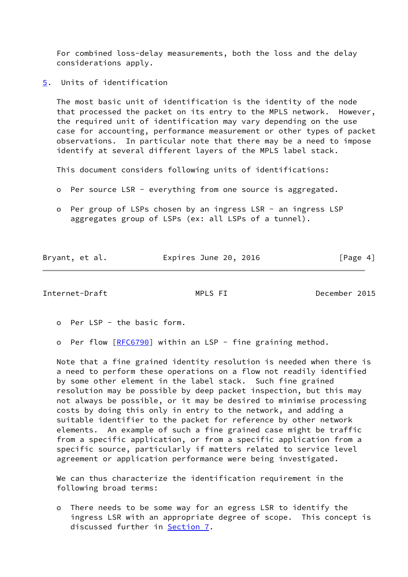For combined loss-delay measurements, both the loss and the delay considerations apply.

<span id="page-4-0"></span>[5](#page-4-0). Units of identification

 The most basic unit of identification is the identity of the node that processed the packet on its entry to the MPLS network. However, the required unit of identification may vary depending on the use case for accounting, performance measurement or other types of packet observations. In particular note that there may be a need to impose identify at several different layers of the MPLS label stack.

This document considers following units of identifications:

- o Per source LSR everything from one source is aggregated.
- o Per group of LSPs chosen by an ingress LSR an ingress LSP aggregates group of LSPs (ex: all LSPs of a tunnel).

| Bryant, et al. | Expires June 20, 2016 | [Page 4] |
|----------------|-----------------------|----------|
|                |                       |          |

<span id="page-4-1"></span>Internet-Draft MPLS FI December 2015

- o Per LSP the basic form.
- o Per flow [\[RFC6790](https://datatracker.ietf.org/doc/pdf/rfc6790)] within an LSP fine graining method.

 Note that a fine grained identity resolution is needed when there is a need to perform these operations on a flow not readily identified by some other element in the label stack. Such fine grained resolution may be possible by deep packet inspection, but this may not always be possible, or it may be desired to minimise processing costs by doing this only in entry to the network, and adding a suitable identifier to the packet for reference by other network elements. An example of such a fine grained case might be traffic from a specific application, or from a specific application from a specific source, particularly if matters related to service level agreement or application performance were being investigated.

 We can thus characterize the identification requirement in the following broad terms:

 o There needs to be some way for an egress LSR to identify the ingress LSR with an appropriate degree of scope. This concept is discussed further in **Section 7.**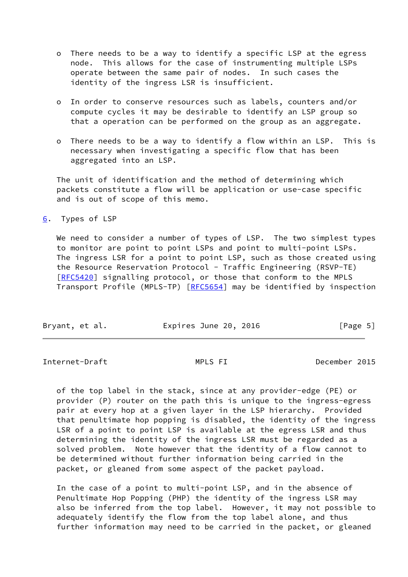- o There needs to be a way to identify a specific LSP at the egress node. This allows for the case of instrumenting multiple LSPs operate between the same pair of nodes. In such cases the identity of the ingress LSR is insufficient.
- o In order to conserve resources such as labels, counters and/or compute cycles it may be desirable to identify an LSP group so that a operation can be performed on the group as an aggregate.
- o There needs to be a way to identify a flow within an LSP. This is necessary when investigating a specific flow that has been aggregated into an LSP.

 The unit of identification and the method of determining which packets constitute a flow will be application or use-case specific and is out of scope of this memo.

<span id="page-5-0"></span>[6](#page-5-0). Types of LSP

We need to consider a number of types of LSP. The two simplest types to monitor are point to point LSPs and point to multi-point LSPs. The ingress LSR for a point to point LSP, such as those created using the Resource Reservation Protocol - Traffic Engineering (RSVP-TE) [\[RFC5420](https://datatracker.ietf.org/doc/pdf/rfc5420)] signalling protocol, or those that conform to the MPLS Transport Profile (MPLS-TP) [\[RFC5654](https://datatracker.ietf.org/doc/pdf/rfc5654)] may be identified by inspection

| Expires June 20, 2016<br>Bryant, et al. | [Page 5] |
|-----------------------------------------|----------|
|-----------------------------------------|----------|

<span id="page-5-1"></span>Internet-Draft MPLS FI December 2015

 of the top label in the stack, since at any provider-edge (PE) or provider (P) router on the path this is unique to the ingress-egress pair at every hop at a given layer in the LSP hierarchy. Provided that penultimate hop popping is disabled, the identity of the ingress LSR of a point to point LSP is available at the egress LSR and thus determining the identity of the ingress LSR must be regarded as a solved problem. Note however that the identity of a flow cannot to be determined without further information being carried in the packet, or gleaned from some aspect of the packet payload.

 In the case of a point to multi-point LSP, and in the absence of Penultimate Hop Popping (PHP) the identity of the ingress LSR may also be inferred from the top label. However, it may not possible to adequately identify the flow from the top label alone, and thus further information may need to be carried in the packet, or gleaned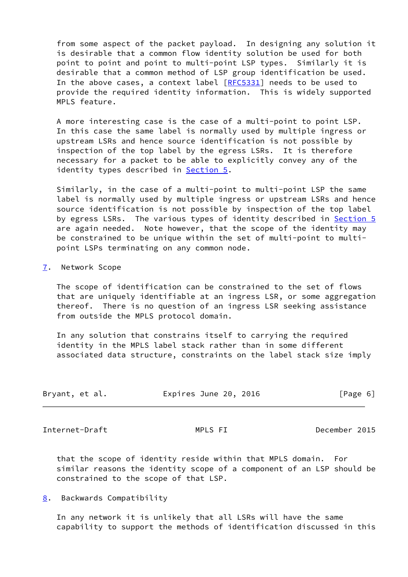from some aspect of the packet payload. In designing any solution it is desirable that a common flow identity solution be used for both point to point and point to multi-point LSP types. Similarly it is desirable that a common method of LSP group identification be used. In the above cases, a context label [\[RFC5331](https://datatracker.ietf.org/doc/pdf/rfc5331)] needs to be used to provide the required identity information. This is widely supported MPLS feature.

 A more interesting case is the case of a multi-point to point LSP. In this case the same label is normally used by multiple ingress or upstream LSRs and hence source identification is not possible by inspection of the top label by the egress LSRs. It is therefore necessary for a packet to be able to explicitly convey any of the identity types described in **[Section 5.](#page-4-0)** 

 Similarly, in the case of a multi-point to multi-point LSP the same label is normally used by multiple ingress or upstream LSRs and hence source identification is not possible by inspection of the top label by egress LSRs. The various types of identity described in [Section 5](#page-4-0) are again needed. Note however, that the scope of the identity may be constrained to be unique within the set of multi-point to multi point LSPs terminating on any common node.

### <span id="page-6-0"></span>[7](#page-6-0). Network Scope

 The scope of identification can be constrained to the set of flows that are uniquely identifiable at an ingress LSR, or some aggregation thereof. There is no question of an ingress LSR seeking assistance from outside the MPLS protocol domain.

 In any solution that constrains itself to carrying the required identity in the MPLS label stack rather than in some different associated data structure, constraints on the label stack size imply

| Bryant, et al. | Expires June 20, 2016 | [Page 6] |
|----------------|-----------------------|----------|
|                |                       |          |

<span id="page-6-2"></span>Internet-Draft MPLS FI December 2015

 that the scope of identity reside within that MPLS domain. For similar reasons the identity scope of a component of an LSP should be constrained to the scope of that LSP.

<span id="page-6-1"></span>[8](#page-6-1). Backwards Compatibility

 In any network it is unlikely that all LSRs will have the same capability to support the methods of identification discussed in this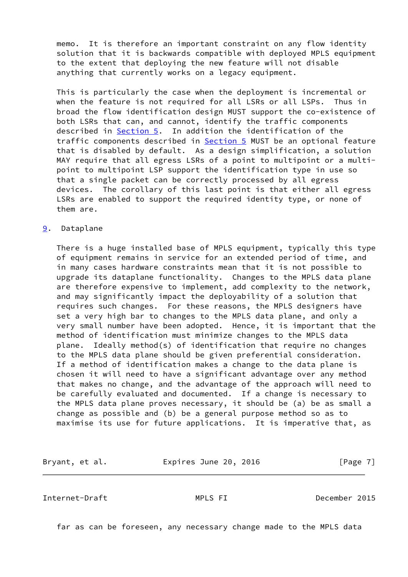memo. It is therefore an important constraint on any flow identity solution that it is backwards compatible with deployed MPLS equipment to the extent that deploying the new feature will not disable anything that currently works on a legacy equipment.

 This is particularly the case when the deployment is incremental or when the feature is not required for all LSRs or all LSPs. Thus in broad the flow identification design MUST support the co-existence of both LSRs that can, and cannot, identify the traffic components described in [Section 5](#page-4-0). In addition the identification of the traffic components described in **Section 5** MUST be an optional feature that is disabled by default. As a design simplification, a solution MAY require that all egress LSRs of a point to multipoint or a multi point to multipoint LSP support the identification type in use so that a single packet can be correctly processed by all egress devices. The corollary of this last point is that either all egress LSRs are enabled to support the required identity type, or none of them are.

#### <span id="page-7-0"></span>[9](#page-7-0). Dataplane

 There is a huge installed base of MPLS equipment, typically this type of equipment remains in service for an extended period of time, and in many cases hardware constraints mean that it is not possible to upgrade its dataplane functionality. Changes to the MPLS data plane are therefore expensive to implement, add complexity to the network, and may significantly impact the deployability of a solution that requires such changes. For these reasons, the MPLS designers have set a very high bar to changes to the MPLS data plane, and only a very small number have been adopted. Hence, it is important that the method of identification must minimize changes to the MPLS data plane. Ideally method(s) of identification that require no changes to the MPLS data plane should be given preferential consideration. If a method of identification makes a change to the data plane is chosen it will need to have a significant advantage over any method that makes no change, and the advantage of the approach will need to be carefully evaluated and documented. If a change is necessary to the MPLS data plane proves necessary, it should be (a) be as small a change as possible and (b) be a general purpose method so as to maximise its use for future applications. It is imperative that, as

Bryant, et al. **Expires June 20, 2016** [Page 7]

<span id="page-7-1"></span>Internet-Draft MPLS FI December 2015

far as can be foreseen, any necessary change made to the MPLS data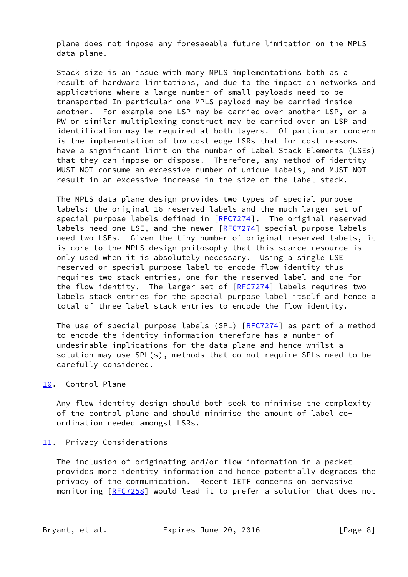plane does not impose any foreseeable future limitation on the MPLS data plane.

 Stack size is an issue with many MPLS implementations both as a result of hardware limitations, and due to the impact on networks and applications where a large number of small payloads need to be transported In particular one MPLS payload may be carried inside another. For example one LSP may be carried over another LSP, or a PW or similar multiplexing construct may be carried over an LSP and identification may be required at both layers. Of particular concern is the implementation of low cost edge LSRs that for cost reasons have a significant limit on the number of Label Stack Elements (LSEs) that they can impose or dispose. Therefore, any method of identity MUST NOT consume an excessive number of unique labels, and MUST NOT result in an excessive increase in the size of the label stack.

 The MPLS data plane design provides two types of special purpose labels: the original 16 reserved labels and the much larger set of special purpose labels defined in [[RFC7274](https://datatracker.ietf.org/doc/pdf/rfc7274)]. The original reserved labels need one LSE, and the newer [[RFC7274\]](https://datatracker.ietf.org/doc/pdf/rfc7274) special purpose labels need two LSEs. Given the tiny number of original reserved labels, it is core to the MPLS design philosophy that this scarce resource is only used when it is absolutely necessary. Using a single LSE reserved or special purpose label to encode flow identity thus requires two stack entries, one for the reserved label and one for the flow identity. The larger set of [[RFC7274](https://datatracker.ietf.org/doc/pdf/rfc7274)] labels requires two labels stack entries for the special purpose label itself and hence a total of three label stack entries to encode the flow identity.

The use of special purpose labels (SPL) [\[RFC7274](https://datatracker.ietf.org/doc/pdf/rfc7274)] as part of a method to encode the identity information therefore has a number of undesirable implications for the data plane and hence whilst a solution may use SPL(s), methods that do not require SPLs need to be carefully considered.

### <span id="page-8-0"></span>[10.](#page-8-0) Control Plane

 Any flow identity design should both seek to minimise the complexity of the control plane and should minimise the amount of label co ordination needed amongst LSRs.

#### <span id="page-8-1"></span>[11.](#page-8-1) Privacy Considerations

 The inclusion of originating and/or flow information in a packet provides more identity information and hence potentially degrades the privacy of the communication. Recent IETF concerns on pervasive monitoring [[RFC7258\]](https://datatracker.ietf.org/doc/pdf/rfc7258) would lead it to prefer a solution that does not

Bryant, et al. **Expires June 20, 2016** [Page 8]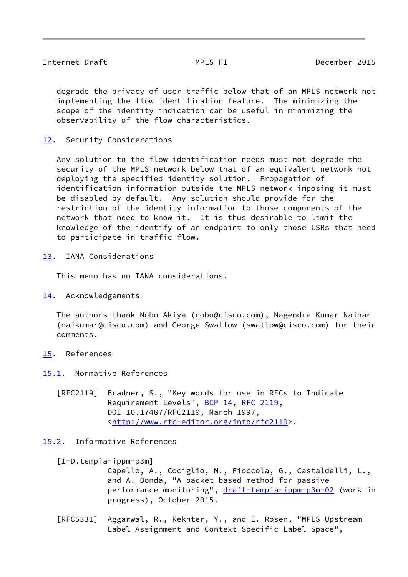<span id="page-9-1"></span> degrade the privacy of user traffic below that of an MPLS network not implementing the flow identification feature. The minimizing the scope of the identity indication can be useful in minimizing the observability of the flow characteristics.

<span id="page-9-0"></span>[12.](#page-9-0) Security Considerations

 Any solution to the flow identification needs must not degrade the security of the MPLS network below that of an equivalent network not deploying the specified identity solution. Propagation of identification information outside the MPLS network imposing it must be disabled by default. Any solution should provide for the restriction of the identity information to those components of the network that need to know it. It is thus desirable to limit the knowledge of the identify of an endpoint to only those LSRs that need to participate in traffic flow.

<span id="page-9-2"></span>[13.](#page-9-2) IANA Considerations

This memo has no IANA considerations.

<span id="page-9-3"></span>[14.](#page-9-3) Acknowledgements

 The authors thank Nobo Akiya (nobo@cisco.com), Nagendra Kumar Nainar (naikumar@cisco.com) and George Swallow (swallow@cisco.com) for their comments.

- <span id="page-9-4"></span>[15.](#page-9-4) References
- <span id="page-9-5"></span>[15.1](#page-9-5). Normative References
	- [RFC2119] Bradner, S., "Key words for use in RFCs to Indicate Requirement Levels", [BCP 14](https://datatracker.ietf.org/doc/pdf/bcp14), [RFC 2119](https://datatracker.ietf.org/doc/pdf/rfc2119), DOI 10.17487/RFC2119, March 1997, <<http://www.rfc-editor.org/info/rfc2119>>.

# <span id="page-9-6"></span>[15.2](#page-9-6). Informative References

<span id="page-9-7"></span>[I-D.tempia-ippm-p3m]

 Capello, A., Cociglio, M., Fioccola, G., Castaldelli, L., and A. Bonda, "A packet based method for passive performance monitoring", [draft-tempia-ippm-p3m-02](https://datatracker.ietf.org/doc/pdf/draft-tempia-ippm-p3m-02) (work in progress), October 2015.

 [RFC5331] Aggarwal, R., Rekhter, Y., and E. Rosen, "MPLS Upstream Label Assignment and Context-Specific Label Space",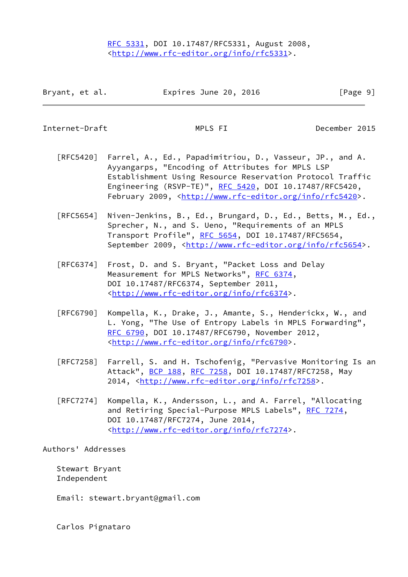<span id="page-10-0"></span>Internet-Draft MPLS FI December 2015

- [RFC5420] Farrel, A., Ed., Papadimitriou, D., Vasseur, JP., and A. Ayyangarps, "Encoding of Attributes for MPLS LSP Establishment Using Resource Reservation Protocol Traffic Engineering (RSVP-TE)", [RFC 5420,](https://datatracker.ietf.org/doc/pdf/rfc5420) DOI 10.17487/RFC5420, February 2009, <<http://www.rfc-editor.org/info/rfc5420>>.
- [RFC5654] Niven-Jenkins, B., Ed., Brungard, D., Ed., Betts, M., Ed., Sprecher, N., and S. Ueno, "Requirements of an MPLS Transport Profile", [RFC 5654,](https://datatracker.ietf.org/doc/pdf/rfc5654) DOI 10.17487/RFC5654, September 2009, <<http://www.rfc-editor.org/info/rfc5654>>.
- [RFC6374] Frost, D. and S. Bryant, "Packet Loss and Delay Measurement for MPLS Networks", [RFC 6374,](https://datatracker.ietf.org/doc/pdf/rfc6374) DOI 10.17487/RFC6374, September 2011, <<http://www.rfc-editor.org/info/rfc6374>>.
- [RFC6790] Kompella, K., Drake, J., Amante, S., Henderickx, W., and L. Yong, "The Use of Entropy Labels in MPLS Forwarding", [RFC 6790,](https://datatracker.ietf.org/doc/pdf/rfc6790) DOI 10.17487/RFC6790, November 2012, <<http://www.rfc-editor.org/info/rfc6790>>.
- [RFC7258] Farrell, S. and H. Tschofenig, "Pervasive Monitoring Is an Attack", [BCP 188,](https://datatracker.ietf.org/doc/pdf/bcp188) [RFC 7258](https://datatracker.ietf.org/doc/pdf/rfc7258), DOI 10.17487/RFC7258, May 2014, [<http://www.rfc-editor.org/info/rfc7258](http://www.rfc-editor.org/info/rfc7258)>.
- [RFC7274] Kompella, K., Andersson, L., and A. Farrel, "Allocating and Retiring Special-Purpose MPLS Labels", [RFC 7274](https://datatracker.ietf.org/doc/pdf/rfc7274), DOI 10.17487/RFC7274, June 2014, <<http://www.rfc-editor.org/info/rfc7274>>.

Authors' Addresses

 Stewart Bryant Independent

Email: stewart.bryant@gmail.com

Carlos Pignataro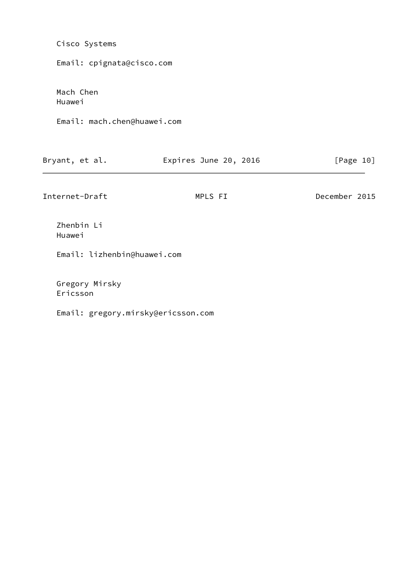| Cisco Systems               |                           |               |  |  |  |  |  |  |  |  |
|-----------------------------|---------------------------|---------------|--|--|--|--|--|--|--|--|
|                             | Email: cpignata@cisco.com |               |  |  |  |  |  |  |  |  |
| Mach Chen<br>Huawei         |                           |               |  |  |  |  |  |  |  |  |
| Email: mach.chen@huawei.com |                           |               |  |  |  |  |  |  |  |  |
| Bryant, et al.              | Expires June 20, 2016     | [Page 10]     |  |  |  |  |  |  |  |  |
| Internet-Draft              | MPLS FI                   | December 2015 |  |  |  |  |  |  |  |  |
| Zhenbin Li<br>Huawei        |                           |               |  |  |  |  |  |  |  |  |
| Email: lizhenbin@huawei.com |                           |               |  |  |  |  |  |  |  |  |

 Gregory Mirsky Ericsson

Email: gregory.mirsky@ericsson.com